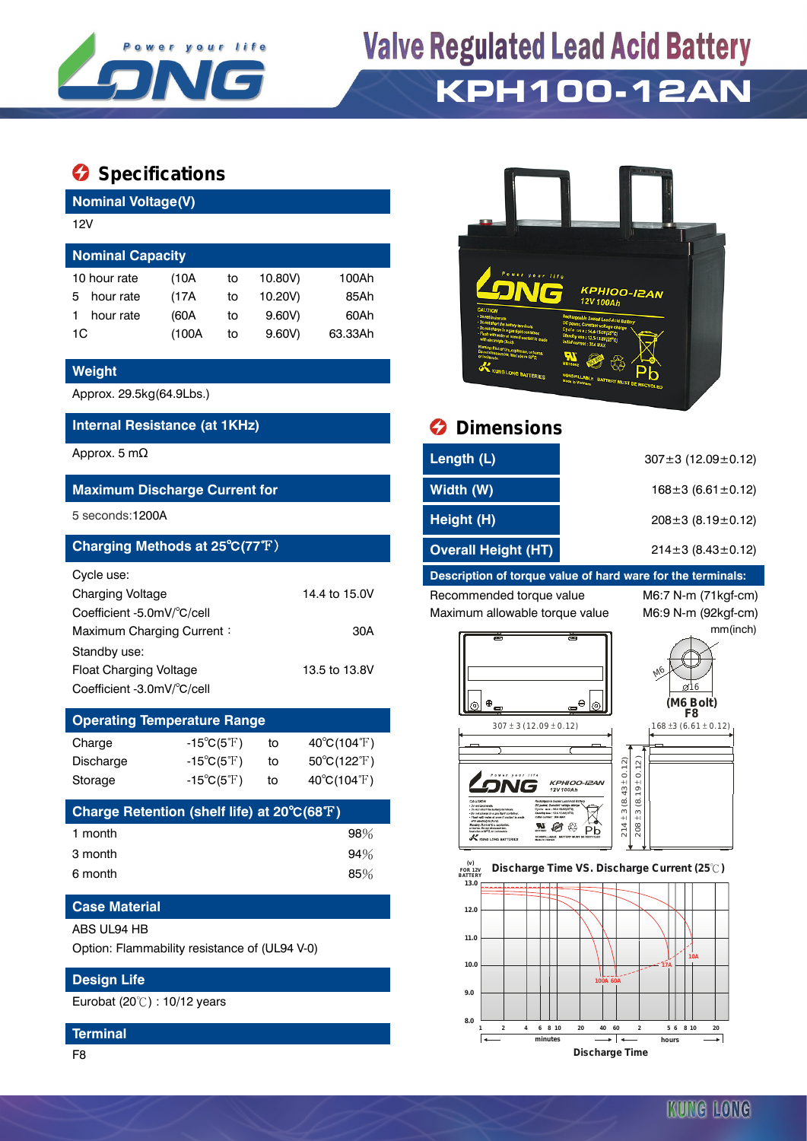

## **Valve Regulated Lead Acid Battery KPH100-12AN**

### **Specifications**

**Nominal Voltage(V)**

| 12V                     |       |    |         |         |  |  |  |
|-------------------------|-------|----|---------|---------|--|--|--|
| <b>Nominal Capacity</b> |       |    |         |         |  |  |  |
| 10 hour rate            | (10A  | to | 10.80V) | 100Ah   |  |  |  |
| hour rate<br>5          | (17A  | to | 10.20V) | 85Ah    |  |  |  |
| hour rate               | (60A  | to | 9.60V   | 60Ah    |  |  |  |
| 1C                      | (100A | to | 9.60V   | 63.33Ah |  |  |  |

#### **Weight**

Approx. 29.5kg(64.9Lbs.)

#### **Internal Resistance (at 1KHz) Dimensions**

#### **Maximum Discharge Current for**

#### **Charging Methods at 25℃(77°F)**

| Cycle use:                 |               |
|----------------------------|---------------|
| <b>Charging Voltage</b>    | 14.4 to 15.0V |
| Coefficient -5.0mV/°C/cell |               |
| Maximum Charging Current:  | 30A           |
| Standby use:               |               |
| Float Charging Voltage     | 13.5 to 13.8V |
| Coefficient -3.0mV/°C/cell |               |

### **Operating Temperature Range** Charge  $-15^{\circ}C(5^{\circ}F)$  to  $40^{\circ}C(104^{\circ}F)$ Discharge  $-15^{\circ}C(5^{\circ}F)$  to  $50^{\circ}C(122^{\circ}F)$

| Charge Retention (shelf life) at 20°C(68°F) |  |     |
|---------------------------------------------|--|-----|
| 1 month                                     |  | 98% |
| 3 month                                     |  | 94% |
| 6 month                                     |  | 85% |

Storage -15℃(5F) to 40°C(104°F)

#### **Case Material**

#### ABS UL94 HB

Option: Flammability resistance of (UL94 V-0)

#### **Design Life**

Eurobat (20℃) : 10/12 years

#### **Terminal**

F8



| Approx. 5 m $\Omega$                        | Length (L)                 | $307 \pm 3$ (12.09 $\pm$ 0.12) |
|---------------------------------------------|----------------------------|--------------------------------|
| <b>Maximum Discharge Current for</b>        | Width (W)                  | $168 \pm 3 (6.61 \pm 0.12)$    |
| 5 seconds:1200A                             | Height (H)                 | $208 \pm 3$ (8.19 $\pm$ 0.12)  |
| Charging Methods at 25°C(77°F) <sup>1</sup> | <b>Overall Height (HT)</b> | $214\pm3(8.43\pm0.12)$         |

#### **Description of torque value of hard ware for the terminals:**

Recommended torque value M6:7 N-m (71kgf-cm) Maximum allowable torque value M6:9 N-m (92kgf-cm)

mm(inch)